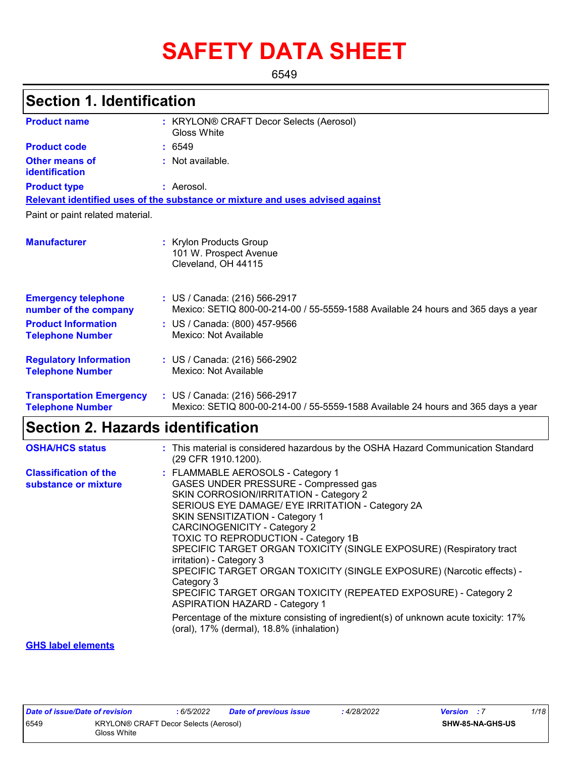# **SAFETY DATA SHEET**

6549

## **Section 1. Identification**

| <b>Product name</b>                                        | : KRYLON® CRAFT Decor Selects (Aerosol)<br>Gloss White                                                             |
|------------------------------------------------------------|--------------------------------------------------------------------------------------------------------------------|
| <b>Product code</b>                                        | : 6549                                                                                                             |
| Other means of<br>identification                           | : Not available.                                                                                                   |
| <b>Product type</b>                                        | : Aerosol.                                                                                                         |
|                                                            | Relevant identified uses of the substance or mixture and uses advised against                                      |
| Paint or paint related material.                           |                                                                                                                    |
| <b>Manufacturer</b>                                        | : Krylon Products Group<br>101 W. Prospect Avenue<br>Cleveland, OH 44115                                           |
| <b>Emergency telephone</b><br>number of the company        | : US / Canada: (216) 566-2917<br>Mexico: SETIQ 800-00-214-00 / 55-5559-1588 Available 24 hours and 365 days a year |
| <b>Product Information</b><br><b>Telephone Number</b>      | : US / Canada: (800) 457-9566<br>Mexico: Not Available                                                             |
| <b>Regulatory Information</b><br><b>Telephone Number</b>   | : US / Canada: (216) 566-2902<br>Mexico: Not Available                                                             |
| <b>Transportation Emergency</b><br><b>Telephone Number</b> | : US / Canada: (216) 566-2917<br>Mexico: SETIQ 800-00-214-00 / 55-5559-1588 Available 24 hours and 365 days a year |

## **Section 2. Hazards identification**

| <b>OSHA/HCS status</b>                               | : This material is considered hazardous by the OSHA Hazard Communication Standard<br>(29 CFR 1910.1200).                                                                                                                                                                                                                                                                                                                                                                                                                                                                                                                                                                                                                                   |
|------------------------------------------------------|--------------------------------------------------------------------------------------------------------------------------------------------------------------------------------------------------------------------------------------------------------------------------------------------------------------------------------------------------------------------------------------------------------------------------------------------------------------------------------------------------------------------------------------------------------------------------------------------------------------------------------------------------------------------------------------------------------------------------------------------|
| <b>Classification of the</b><br>substance or mixture | : FLAMMABLE AEROSOLS - Category 1<br>GASES UNDER PRESSURE - Compressed gas<br>SKIN CORROSION/IRRITATION - Category 2<br>SERIOUS EYE DAMAGE/ EYE IRRITATION - Category 2A<br>SKIN SENSITIZATION - Category 1<br><b>CARCINOGENICITY - Category 2</b><br><b>TOXIC TO REPRODUCTION - Category 1B</b><br>SPECIFIC TARGET ORGAN TOXICITY (SINGLE EXPOSURE) (Respiratory tract<br>irritation) - Category 3<br>SPECIFIC TARGET ORGAN TOXICITY (SINGLE EXPOSURE) (Narcotic effects) -<br>Category 3<br>SPECIFIC TARGET ORGAN TOXICITY (REPEATED EXPOSURE) - Category 2<br><b>ASPIRATION HAZARD - Category 1</b><br>Percentage of the mixture consisting of ingredient(s) of unknown acute toxicity: 17%<br>(oral), 17% (dermal), 18.8% (inhalation) |
|                                                      |                                                                                                                                                                                                                                                                                                                                                                                                                                                                                                                                                                                                                                                                                                                                            |

#### **GHS label elements**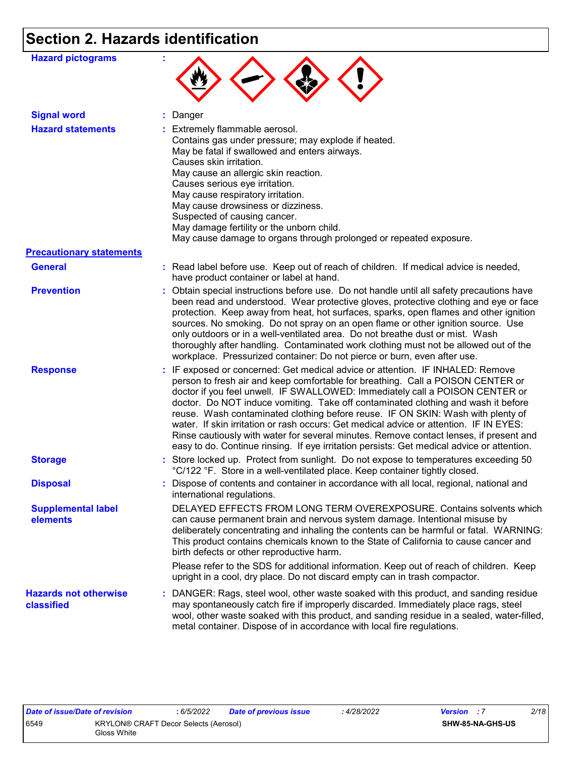## **Section 2. Hazards identification**

| <b>Hazard pictograms</b>                   |                                                                                                                                                                                                                                                                                                                                                                                                                                                                                                                                                                                                                                                                                                             |
|--------------------------------------------|-------------------------------------------------------------------------------------------------------------------------------------------------------------------------------------------------------------------------------------------------------------------------------------------------------------------------------------------------------------------------------------------------------------------------------------------------------------------------------------------------------------------------------------------------------------------------------------------------------------------------------------------------------------------------------------------------------------|
| <b>Signal word</b>                         | : Danger                                                                                                                                                                                                                                                                                                                                                                                                                                                                                                                                                                                                                                                                                                    |
| <b>Hazard statements</b>                   | : Extremely flammable aerosol.<br>Contains gas under pressure; may explode if heated.<br>May be fatal if swallowed and enters airways.<br>Causes skin irritation.<br>May cause an allergic skin reaction.<br>Causes serious eye irritation.<br>May cause respiratory irritation.<br>May cause drowsiness or dizziness.<br>Suspected of causing cancer.<br>May damage fertility or the unborn child.<br>May cause damage to organs through prolonged or repeated exposure.                                                                                                                                                                                                                                   |
| <b>Precautionary statements</b>            |                                                                                                                                                                                                                                                                                                                                                                                                                                                                                                                                                                                                                                                                                                             |
| <b>General</b>                             | : Read label before use. Keep out of reach of children. If medical advice is needed,<br>have product container or label at hand.                                                                                                                                                                                                                                                                                                                                                                                                                                                                                                                                                                            |
| <b>Prevention</b>                          | : Obtain special instructions before use. Do not handle until all safety precautions have<br>been read and understood. Wear protective gloves, protective clothing and eye or face<br>protection. Keep away from heat, hot surfaces, sparks, open flames and other ignition<br>sources. No smoking. Do not spray on an open flame or other ignition source. Use<br>only outdoors or in a well-ventilated area. Do not breathe dust or mist. Wash<br>thoroughly after handling. Contaminated work clothing must not be allowed out of the<br>workplace. Pressurized container: Do not pierce or burn, even after use.                                                                                        |
| <b>Response</b>                            | : IF exposed or concerned: Get medical advice or attention. IF INHALED: Remove<br>person to fresh air and keep comfortable for breathing. Call a POISON CENTER or<br>doctor if you feel unwell. IF SWALLOWED: Immediately call a POISON CENTER or<br>doctor. Do NOT induce vomiting. Take off contaminated clothing and wash it before<br>reuse. Wash contaminated clothing before reuse. IF ON SKIN: Wash with plenty of<br>water. If skin irritation or rash occurs: Get medical advice or attention. IF IN EYES:<br>Rinse cautiously with water for several minutes. Remove contact lenses, if present and<br>easy to do. Continue rinsing. If eye irritation persists: Get medical advice or attention. |
| <b>Storage</b>                             | : Store locked up. Protect from sunlight. Do not expose to temperatures exceeding 50<br>°C/122 °F. Store in a well-ventilated place. Keep container tightly closed.                                                                                                                                                                                                                                                                                                                                                                                                                                                                                                                                         |
| <b>Disposal</b>                            | : Dispose of contents and container in accordance with all local, regional, national and<br>international regulations.                                                                                                                                                                                                                                                                                                                                                                                                                                                                                                                                                                                      |
| <b>Supplemental label</b><br>elements      | DELAYED EFFECTS FROM LONG TERM OVEREXPOSURE. Contains solvents which<br>can cause permanent brain and nervous system damage. Intentional misuse by<br>deliberately concentrating and inhaling the contents can be harmful or fatal. WARNING:<br>This product contains chemicals known to the State of California to cause cancer and<br>birth defects or other reproductive harm.<br>Please refer to the SDS for additional information. Keep out of reach of children. Keep<br>upright in a cool, dry place. Do not discard empty can in trash compactor.                                                                                                                                                  |
| <b>Hazards not otherwise</b><br>classified | : DANGER: Rags, steel wool, other waste soaked with this product, and sanding residue<br>may spontaneously catch fire if improperly discarded. Immediately place rags, steel<br>wool, other waste soaked with this product, and sanding residue in a sealed, water-filled,<br>metal container. Dispose of in accordance with local fire regulations.                                                                                                                                                                                                                                                                                                                                                        |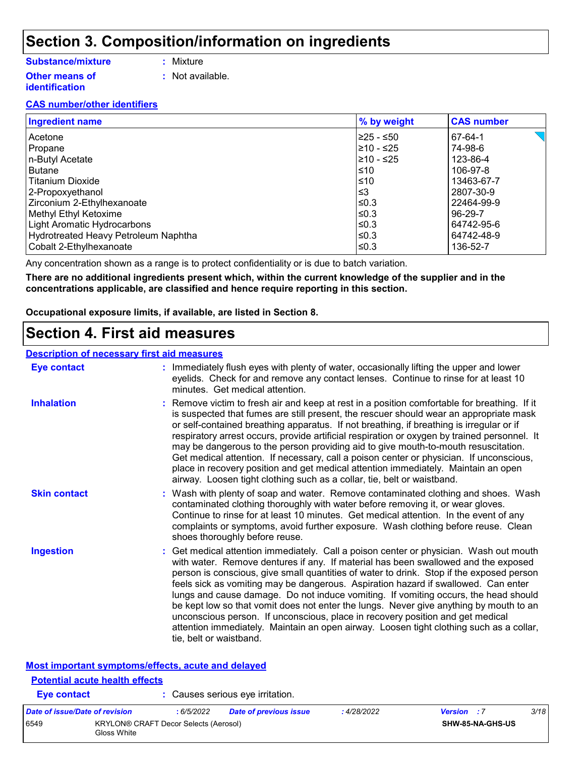### **Section 3. Composition/information on ingredients**

#### **Substance/mixture**

- **:** Mixture
- **Other means of identification**
- 
- **:** Not available.

#### **CAS number/other identifiers**

| <b>Ingredient name</b>               | % by weight | <b>CAS number</b> |
|--------------------------------------|-------------|-------------------|
| l Acetone                            | l≥25 - ≤50  | 67-64-1           |
| Propane                              | l≥10 - ≤25  | 74-98-6           |
| n-Butyl Acetate                      | l≥10 - ≤25  | 123-86-4          |
| Butane                               | l≤10        | 106-97-8          |
| Titanium Dioxide                     | l≤10        | 13463-67-7        |
| 2-Propoxyethanol                     | ՝≤3         | 2807-30-9         |
| Zirconium 2-Ethylhexanoate           | l≤0.3       | 22464-99-9        |
| Methyl Ethyl Ketoxime                | l≤0.3       | 96-29-7           |
| Light Aromatic Hydrocarbons          | l≤0.3       | 64742-95-6        |
| Hydrotreated Heavy Petroleum Naphtha | l≤0.3       | 64742-48-9        |
| Cobalt 2-Ethylhexanoate              | l≤0.3       | 136-52-7          |

Any concentration shown as a range is to protect confidentiality or is due to batch variation.

**There are no additional ingredients present which, within the current knowledge of the supplier and in the concentrations applicable, are classified and hence require reporting in this section.**

**Occupational exposure limits, if available, are listed in Section 8.**

### **Section 4. First aid measures**

#### **Description of necessary first aid measures**

**Potential acute health effects**

| <b>Eye contact</b>                                 | : Immediately flush eyes with plenty of water, occasionally lifting the upper and lower<br>eyelids. Check for and remove any contact lenses. Continue to rinse for at least 10<br>minutes. Get medical attention.                                                                                                                                                                                                                                                                                                                                                                                                                                                                                                                                       |  |
|----------------------------------------------------|---------------------------------------------------------------------------------------------------------------------------------------------------------------------------------------------------------------------------------------------------------------------------------------------------------------------------------------------------------------------------------------------------------------------------------------------------------------------------------------------------------------------------------------------------------------------------------------------------------------------------------------------------------------------------------------------------------------------------------------------------------|--|
| <b>Inhalation</b>                                  | : Remove victim to fresh air and keep at rest in a position comfortable for breathing. If it<br>is suspected that fumes are still present, the rescuer should wear an appropriate mask<br>or self-contained breathing apparatus. If not breathing, if breathing is irregular or if<br>respiratory arrest occurs, provide artificial respiration or oxygen by trained personnel. It<br>may be dangerous to the person providing aid to give mouth-to-mouth resuscitation.<br>Get medical attention. If necessary, call a poison center or physician. If unconscious,<br>place in recovery position and get medical attention immediately. Maintain an open<br>airway. Loosen tight clothing such as a collar, tie, belt or waistband.                    |  |
| <b>Skin contact</b>                                | : Wash with plenty of soap and water. Remove contaminated clothing and shoes. Wash<br>contaminated clothing thoroughly with water before removing it, or wear gloves.<br>Continue to rinse for at least 10 minutes. Get medical attention. In the event of any<br>complaints or symptoms, avoid further exposure. Wash clothing before reuse. Clean<br>shoes thoroughly before reuse.                                                                                                                                                                                                                                                                                                                                                                   |  |
| <b>Ingestion</b>                                   | : Get medical attention immediately. Call a poison center or physician. Wash out mouth<br>with water. Remove dentures if any. If material has been swallowed and the exposed<br>person is conscious, give small quantities of water to drink. Stop if the exposed person<br>feels sick as vomiting may be dangerous. Aspiration hazard if swallowed. Can enter<br>lungs and cause damage. Do not induce vomiting. If vomiting occurs, the head should<br>be kept low so that vomit does not enter the lungs. Never give anything by mouth to an<br>unconscious person. If unconscious, place in recovery position and get medical<br>attention immediately. Maintain an open airway. Loosen tight clothing such as a collar,<br>tie, belt or waistband. |  |
| Most important symptoms/effects, acute and delayed |                                                                                                                                                                                                                                                                                                                                                                                                                                                                                                                                                                                                                                                                                                                                                         |  |

| Eye contact                    |                                                             |            | : Causes serious eye irritation. |             |                         |      |
|--------------------------------|-------------------------------------------------------------|------------|----------------------------------|-------------|-------------------------|------|
| Date of issue/Date of revision |                                                             | : 6/5/2022 | <b>Date of previous issue</b>    | : 4/28/2022 | <b>Version</b> : 7      | 3/18 |
| 6549                           | <b>KRYLON® CRAFT Decor Selects (Aerosol)</b><br>Gloss White |            |                                  |             | <b>SHW-85-NA-GHS-US</b> |      |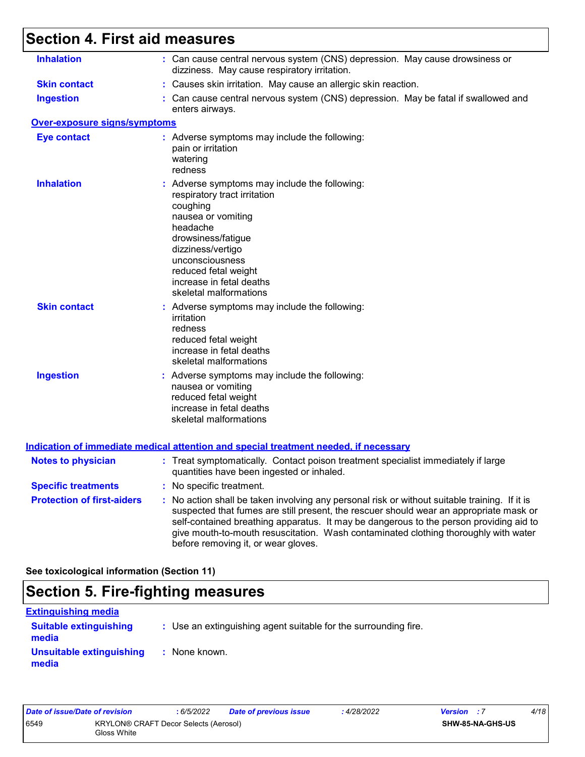## **Section 4. First aid measures**

| <b>Inhalation</b>                   | : Can cause central nervous system (CNS) depression. May cause drowsiness or<br>dizziness. May cause respiratory irritation.                                                                                                                                                                                                                                                                                    |
|-------------------------------------|-----------------------------------------------------------------------------------------------------------------------------------------------------------------------------------------------------------------------------------------------------------------------------------------------------------------------------------------------------------------------------------------------------------------|
| <b>Skin contact</b>                 | : Causes skin irritation. May cause an allergic skin reaction.                                                                                                                                                                                                                                                                                                                                                  |
| <b>Ingestion</b>                    | : Can cause central nervous system (CNS) depression. May be fatal if swallowed and<br>enters airways.                                                                                                                                                                                                                                                                                                           |
| <b>Over-exposure signs/symptoms</b> |                                                                                                                                                                                                                                                                                                                                                                                                                 |
| <b>Eye contact</b>                  | : Adverse symptoms may include the following:<br>pain or irritation<br>watering<br>redness                                                                                                                                                                                                                                                                                                                      |
| <b>Inhalation</b>                   | : Adverse symptoms may include the following:<br>respiratory tract irritation<br>coughing<br>nausea or vomiting<br>headache<br>drowsiness/fatigue<br>dizziness/vertigo<br>unconsciousness<br>reduced fetal weight<br>increase in fetal deaths<br>skeletal malformations                                                                                                                                         |
| <b>Skin contact</b>                 | : Adverse symptoms may include the following:<br>irritation<br>redness<br>reduced fetal weight<br>increase in fetal deaths<br>skeletal malformations                                                                                                                                                                                                                                                            |
| <b>Ingestion</b>                    | : Adverse symptoms may include the following:<br>nausea or vomiting<br>reduced fetal weight<br>increase in fetal deaths<br>skeletal malformations                                                                                                                                                                                                                                                               |
|                                     | <b>Indication of immediate medical attention and special treatment needed, if necessary</b>                                                                                                                                                                                                                                                                                                                     |
| <b>Notes to physician</b>           | : Treat symptomatically. Contact poison treatment specialist immediately if large<br>quantities have been ingested or inhaled.                                                                                                                                                                                                                                                                                  |
| <b>Specific treatments</b>          | : No specific treatment.                                                                                                                                                                                                                                                                                                                                                                                        |
| <b>Protection of first-aiders</b>   | : No action shall be taken involving any personal risk or without suitable training. If it is<br>suspected that fumes are still present, the rescuer should wear an appropriate mask or<br>self-contained breathing apparatus. It may be dangerous to the person providing aid to<br>give mouth-to-mouth resuscitation. Wash contaminated clothing thoroughly with water<br>before removing it, or wear gloves. |

**See toxicological information (Section 11)**

## **Section 5. Fire-fighting measures**

| <b>Extinguishing media</b>             |                                                                 |
|----------------------------------------|-----------------------------------------------------------------|
| <b>Suitable extinguishing</b><br>media | : Use an extinguishing agent suitable for the surrounding fire. |
| Unsuitable extinguishing<br>media      | : None known.                                                   |

| Date of issue/Date of revision |                                                      | : 6/5/2022 | <b>Date of previous issue</b> | : 4/28/2022 | <b>Version</b> : 7 |                         | 4/18 |
|--------------------------------|------------------------------------------------------|------------|-------------------------------|-------------|--------------------|-------------------------|------|
| 6549                           | KRYLON® CRAFT Decor Selects (Aerosol)<br>Gloss White |            |                               |             |                    | <b>SHW-85-NA-GHS-US</b> |      |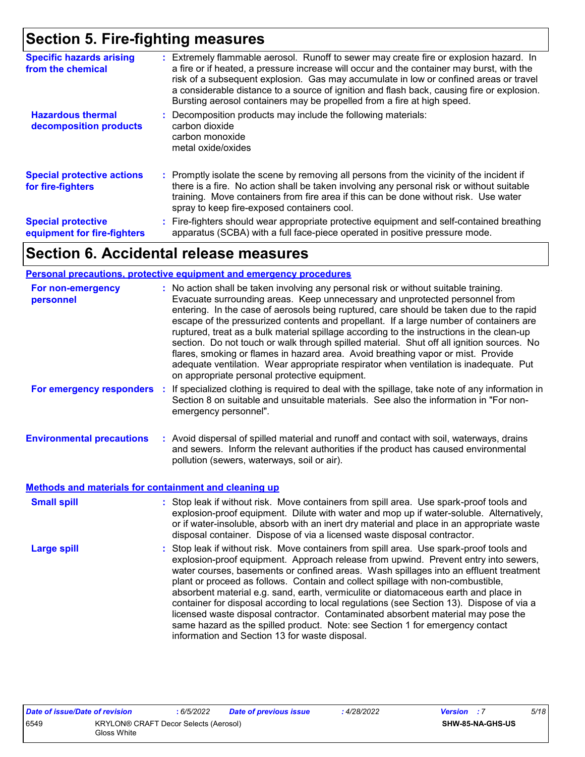### **Section 5. Fire-fighting measures**

| <b>Specific hazards arising</b><br>from the chemical     | : Extremely flammable aerosol. Runoff to sewer may create fire or explosion hazard. In<br>a fire or if heated, a pressure increase will occur and the container may burst, with the<br>risk of a subsequent explosion. Gas may accumulate in low or confined areas or travel<br>a considerable distance to a source of ignition and flash back, causing fire or explosion.<br>Bursting aerosol containers may be propelled from a fire at high speed. |
|----------------------------------------------------------|-------------------------------------------------------------------------------------------------------------------------------------------------------------------------------------------------------------------------------------------------------------------------------------------------------------------------------------------------------------------------------------------------------------------------------------------------------|
| <b>Hazardous thermal</b><br>decomposition products       | Decomposition products may include the following materials:<br>carbon dioxide<br>carbon monoxide<br>metal oxide/oxides                                                                                                                                                                                                                                                                                                                                |
| <b>Special protective actions</b><br>for fire-fighters   | : Promptly isolate the scene by removing all persons from the vicinity of the incident if<br>there is a fire. No action shall be taken involving any personal risk or without suitable<br>training. Move containers from fire area if this can be done without risk. Use water<br>spray to keep fire-exposed containers cool.                                                                                                                         |
| <b>Special protective</b><br>equipment for fire-fighters | : Fire-fighters should wear appropriate protective equipment and self-contained breathing<br>apparatus (SCBA) with a full face-piece operated in positive pressure mode.                                                                                                                                                                                                                                                                              |

## **Section 6. Accidental release measures**

#### **Personal precautions, protective equipment and emergency procedures**

| For non-emergency<br>personnel                        | : No action shall be taken involving any personal risk or without suitable training.<br>Evacuate surrounding areas. Keep unnecessary and unprotected personnel from<br>entering. In the case of aerosols being ruptured, care should be taken due to the rapid<br>escape of the pressurized contents and propellant. If a large number of containers are<br>ruptured, treat as a bulk material spillage according to the instructions in the clean-up<br>section. Do not touch or walk through spilled material. Shut off all ignition sources. No<br>flares, smoking or flames in hazard area. Avoid breathing vapor or mist. Provide<br>adequate ventilation. Wear appropriate respirator when ventilation is inadequate. Put<br>on appropriate personal protective equipment. |
|-------------------------------------------------------|----------------------------------------------------------------------------------------------------------------------------------------------------------------------------------------------------------------------------------------------------------------------------------------------------------------------------------------------------------------------------------------------------------------------------------------------------------------------------------------------------------------------------------------------------------------------------------------------------------------------------------------------------------------------------------------------------------------------------------------------------------------------------------|
| For emergency responders                              | If specialized clothing is required to deal with the spillage, take note of any information in<br>t<br>Section 8 on suitable and unsuitable materials. See also the information in "For non-<br>emergency personnel".                                                                                                                                                                                                                                                                                                                                                                                                                                                                                                                                                            |
| <b>Environmental precautions</b>                      | : Avoid dispersal of spilled material and runoff and contact with soil, waterways, drains<br>and sewers. Inform the relevant authorities if the product has caused environmental<br>pollution (sewers, waterways, soil or air).                                                                                                                                                                                                                                                                                                                                                                                                                                                                                                                                                  |
| Methods and materials for containment and cleaning up |                                                                                                                                                                                                                                                                                                                                                                                                                                                                                                                                                                                                                                                                                                                                                                                  |
| <b>Small spill</b>                                    | : Stop leak if without risk. Move containers from spill area. Use spark-proof tools and<br>explosion-proof equipment. Dilute with water and mop up if water-soluble. Alternatively,<br>or if water-insoluble, absorb with an inert dry material and place in an appropriate waste<br>disposal container. Dispose of via a licensed waste disposal contractor.                                                                                                                                                                                                                                                                                                                                                                                                                    |
| <b>Large spill</b>                                    | : Stop leak if without risk. Move containers from spill area. Use spark-proof tools and<br>explosion-proof equipment. Approach release from upwind. Prevent entry into sewers,<br>water courses, basements or confined areas. Wash spillages into an effluent treatment<br>plant or proceed as follows. Contain and collect spillage with non-combustible,<br>absorbent material e.g. sand, earth, vermiculite or diatomaceous earth and place in<br>container for disposal according to local regulations (see Section 13). Dispose of via a<br>licensed waste disposal contractor. Contaminated absorbent material may pose the<br>same hazard as the spilled product. Note: see Section 1 for emergency contact<br>information and Section 13 for waste disposal.             |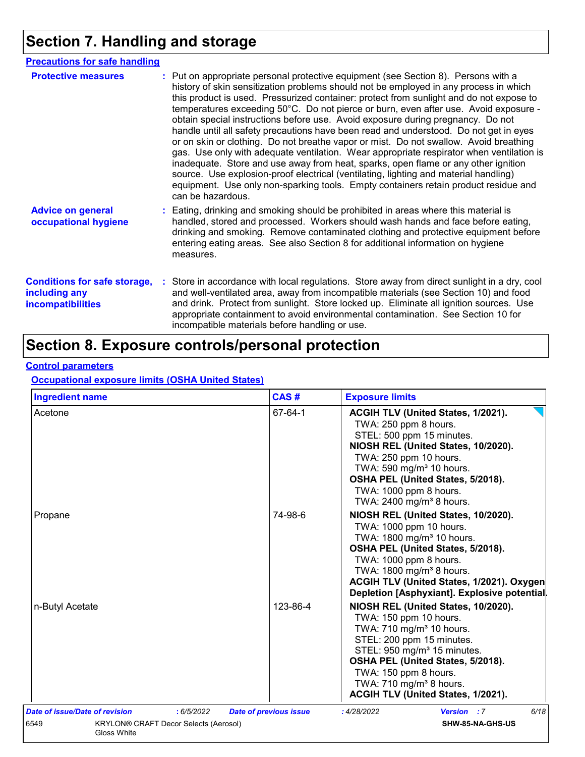## **Section 7. Handling and storage**

| <b>Precautions for safe handling</b>                                             |                                                                                                                                                                                                                                                                                                                                                                                                                                                                                                                                                                                                                                                                                                                                                                                                                                                                                                                                                                                                                           |
|----------------------------------------------------------------------------------|---------------------------------------------------------------------------------------------------------------------------------------------------------------------------------------------------------------------------------------------------------------------------------------------------------------------------------------------------------------------------------------------------------------------------------------------------------------------------------------------------------------------------------------------------------------------------------------------------------------------------------------------------------------------------------------------------------------------------------------------------------------------------------------------------------------------------------------------------------------------------------------------------------------------------------------------------------------------------------------------------------------------------|
| <b>Protective measures</b>                                                       | : Put on appropriate personal protective equipment (see Section 8). Persons with a<br>history of skin sensitization problems should not be employed in any process in which<br>this product is used. Pressurized container: protect from sunlight and do not expose to<br>temperatures exceeding 50°C. Do not pierce or burn, even after use. Avoid exposure -<br>obtain special instructions before use. Avoid exposure during pregnancy. Do not<br>handle until all safety precautions have been read and understood. Do not get in eyes<br>or on skin or clothing. Do not breathe vapor or mist. Do not swallow. Avoid breathing<br>gas. Use only with adequate ventilation. Wear appropriate respirator when ventilation is<br>inadequate. Store and use away from heat, sparks, open flame or any other ignition<br>source. Use explosion-proof electrical (ventilating, lighting and material handling)<br>equipment. Use only non-sparking tools. Empty containers retain product residue and<br>can be hazardous. |
| <b>Advice on general</b><br>occupational hygiene                                 | : Eating, drinking and smoking should be prohibited in areas where this material is<br>handled, stored and processed. Workers should wash hands and face before eating,<br>drinking and smoking. Remove contaminated clothing and protective equipment before<br>entering eating areas. See also Section 8 for additional information on hygiene<br>measures.                                                                                                                                                                                                                                                                                                                                                                                                                                                                                                                                                                                                                                                             |
| <b>Conditions for safe storage,</b><br>including any<br><b>incompatibilities</b> | : Store in accordance with local regulations. Store away from direct sunlight in a dry, cool<br>and well-ventilated area, away from incompatible materials (see Section 10) and food<br>and drink. Protect from sunlight. Store locked up. Eliminate all ignition sources. Use<br>appropriate containment to avoid environmental contamination. See Section 10 for<br>incompatible materials before handling or use.                                                                                                                                                                                                                                                                                                                                                                                                                                                                                                                                                                                                      |

## **Section 8. Exposure controls/personal protection**

#### **Control parameters**

#### **Occupational exposure limits (OSHA United States)**

| <b>Ingredient name</b>                |                                              | CAS#                          | <b>Exposure limits</b>                                                                                                                                                                                                                                                                                                                                                                                                                                                                                                                                                                                                  |  |
|---------------------------------------|----------------------------------------------|-------------------------------|-------------------------------------------------------------------------------------------------------------------------------------------------------------------------------------------------------------------------------------------------------------------------------------------------------------------------------------------------------------------------------------------------------------------------------------------------------------------------------------------------------------------------------------------------------------------------------------------------------------------------|--|
| Acetone<br>Propane<br>n-Butyl Acetate |                                              | 67-64-1                       | ACGIH TLV (United States, 1/2021).<br>TWA: 250 ppm 8 hours.<br>STEL: 500 ppm 15 minutes.<br>NIOSH REL (United States, 10/2020).<br>TWA: 250 ppm 10 hours.<br>TWA: 590 mg/m <sup>3</sup> 10 hours.<br>OSHA PEL (United States, 5/2018).<br>TWA: 1000 ppm 8 hours.<br>TWA: 2400 mg/m <sup>3</sup> 8 hours.<br>NIOSH REL (United States, 10/2020).<br>TWA: 1000 ppm 10 hours.<br>TWA: 1800 mg/m <sup>3</sup> 10 hours.<br>OSHA PEL (United States, 5/2018).<br>TWA: 1000 ppm 8 hours.<br>TWA: 1800 mg/m <sup>3</sup> 8 hours.<br>ACGIH TLV (United States, 1/2021). Oxygen<br>Depletion [Asphyxiant]. Explosive potential. |  |
|                                       |                                              | 74-98-6                       |                                                                                                                                                                                                                                                                                                                                                                                                                                                                                                                                                                                                                         |  |
|                                       |                                              | 123-86-4                      | NIOSH REL (United States, 10/2020).<br>TWA: 150 ppm 10 hours.<br>TWA: 710 mg/m <sup>3</sup> 10 hours.<br>STEL: 200 ppm 15 minutes.<br>STEL: 950 mg/m <sup>3</sup> 15 minutes.<br>OSHA PEL (United States, 5/2018).<br>TWA: 150 ppm 8 hours.<br>TWA: 710 mg/m <sup>3</sup> 8 hours.<br>ACGIH TLV (United States, 1/2021).                                                                                                                                                                                                                                                                                                |  |
| Date of issue/Date of revision        | : 6/5/2022                                   | <b>Date of previous issue</b> | 6/18<br>: 4/28/2022<br>Version : 7                                                                                                                                                                                                                                                                                                                                                                                                                                                                                                                                                                                      |  |
| 6549<br>Gloss White                   | <b>KRYLON® CRAFT Decor Selects (Aerosol)</b> |                               | SHW-85-NA-GHS-US                                                                                                                                                                                                                                                                                                                                                                                                                                                                                                                                                                                                        |  |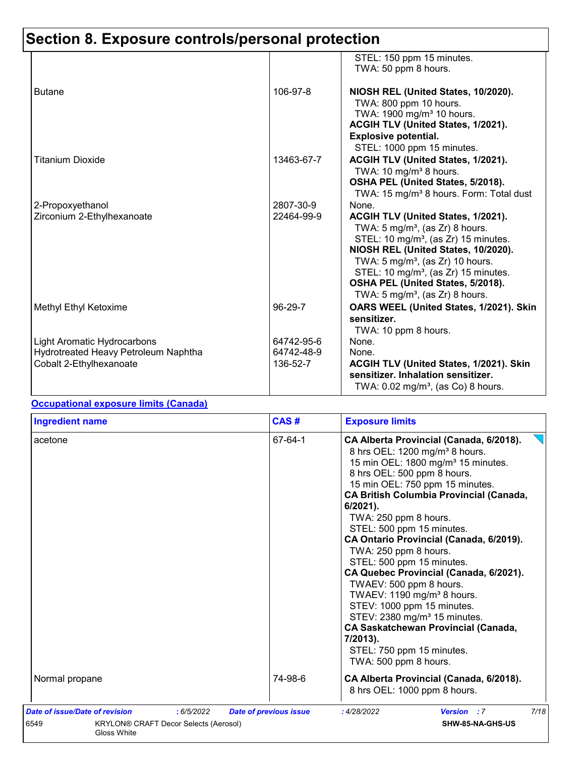|                                                                                                       |                                      | STEL: 150 ppm 15 minutes.<br>TWA: 50 ppm 8 hours.                                                                                                                                                                                                                                                                                                                          |
|-------------------------------------------------------------------------------------------------------|--------------------------------------|----------------------------------------------------------------------------------------------------------------------------------------------------------------------------------------------------------------------------------------------------------------------------------------------------------------------------------------------------------------------------|
| <b>Butane</b>                                                                                         | 106-97-8                             | NIOSH REL (United States, 10/2020).<br>TWA: 800 ppm 10 hours.<br>TWA: 1900 mg/m <sup>3</sup> 10 hours.<br>ACGIH TLV (United States, 1/2021).<br><b>Explosive potential.</b>                                                                                                                                                                                                |
| Titanium Dioxide                                                                                      | 13463-67-7                           | STEL: 1000 ppm 15 minutes.<br>ACGIH TLV (United States, 1/2021).<br>TWA: 10 mg/m <sup>3</sup> 8 hours.<br>OSHA PEL (United States, 5/2018).<br>TWA: 15 mg/m <sup>3</sup> 8 hours. Form: Total dust                                                                                                                                                                         |
| 2-Propoxyethanol<br>Zirconium 2-Ethylhexanoate                                                        | 2807-30-9<br>22464-99-9              | None.<br>ACGIH TLV (United States, 1/2021).<br>TWA: $5 \text{ mg/m}^3$ , (as Zr) 8 hours.<br>STEL: 10 mg/m <sup>3</sup> , (as Zr) 15 minutes.<br>NIOSH REL (United States, 10/2020).<br>TWA: $5 \text{ mg/m}^3$ , (as Zr) 10 hours.<br>STEL: 10 mg/m <sup>3</sup> , (as Zr) 15 minutes.<br>OSHA PEL (United States, 5/2018).<br>TWA: $5 \text{ mg/m}^3$ , (as Zr) 8 hours. |
| Methyl Ethyl Ketoxime                                                                                 | 96-29-7                              | OARS WEEL (United States, 1/2021). Skin<br>sensitizer.<br>TWA: 10 ppm 8 hours.                                                                                                                                                                                                                                                                                             |
| <b>Light Aromatic Hydrocarbons</b><br>Hydrotreated Heavy Petroleum Naphtha<br>Cobalt 2-Ethylhexanoate | 64742-95-6<br>64742-48-9<br>136-52-7 | None.<br>None.<br>ACGIH TLV (United States, 1/2021). Skin<br>sensitizer. Inhalation sensitizer.<br>TWA: $0.02$ mg/m <sup>3</sup> , (as Co) 8 hours.                                                                                                                                                                                                                        |

### **Occupational exposure limits (Canada)**

| 67-64-1<br>CA Alberta Provincial (Canada, 6/2018).<br>acetone<br>8 hrs OEL: 1200 mg/m <sup>3</sup> 8 hours.<br>15 min OEL: 1800 mg/m <sup>3</sup> 15 minutes.<br>8 hrs OEL: 500 ppm 8 hours.<br>15 min OEL: 750 ppm 15 minutes.<br><b>CA British Columbia Provincial (Canada,</b><br>$6/2021$ ).<br>TWA: 250 ppm 8 hours.<br>STEL: 500 ppm 15 minutes.<br>CA Ontario Provincial (Canada, 6/2019).<br>TWA: 250 ppm 8 hours.<br>STEL: 500 ppm 15 minutes.<br>CA Quebec Provincial (Canada, 6/2021).<br>TWAEV: 500 ppm 8 hours.<br>TWAEV: 1190 mg/m <sup>3</sup> 8 hours.<br>STEV: 1000 ppm 15 minutes.<br>STEV: 2380 mg/m <sup>3</sup> 15 minutes.<br><b>CA Saskatchewan Provincial (Canada,</b><br>7/2013).<br>STEL: 750 ppm 15 minutes.<br>TWA: 500 ppm 8 hours.<br>74-98-6<br>Normal propane<br>CA Alberta Provincial (Canada, 6/2018).<br>8 hrs OEL: 1000 ppm 8 hours. | <b>Ingredient name</b> | CAS# | <b>Exposure limits</b> |
|--------------------------------------------------------------------------------------------------------------------------------------------------------------------------------------------------------------------------------------------------------------------------------------------------------------------------------------------------------------------------------------------------------------------------------------------------------------------------------------------------------------------------------------------------------------------------------------------------------------------------------------------------------------------------------------------------------------------------------------------------------------------------------------------------------------------------------------------------------------------------|------------------------|------|------------------------|
|                                                                                                                                                                                                                                                                                                                                                                                                                                                                                                                                                                                                                                                                                                                                                                                                                                                                          |                        |      |                        |
|                                                                                                                                                                                                                                                                                                                                                                                                                                                                                                                                                                                                                                                                                                                                                                                                                                                                          |                        |      |                        |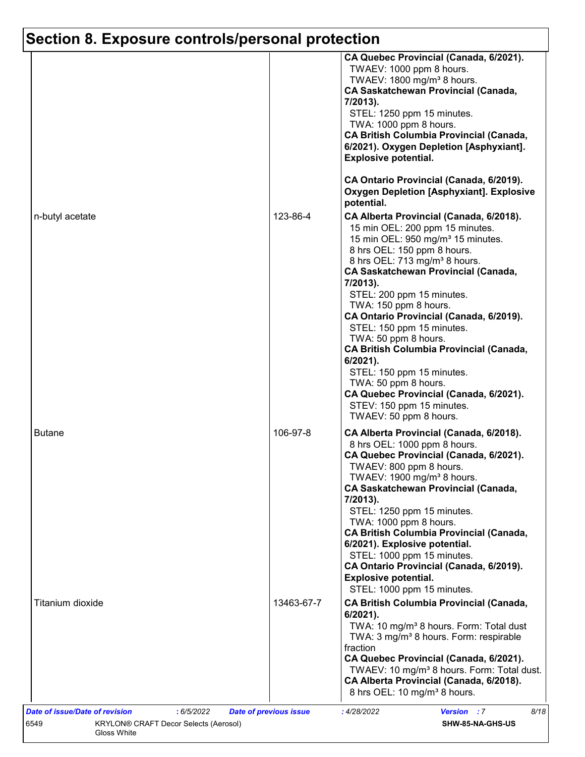|                  |            | CA Quebec Provincial (Canada, 6/2021).<br>TWAEV: 1000 ppm 8 hours.<br>TWAEV: 1800 mg/m <sup>3</sup> 8 hours.<br><b>CA Saskatchewan Provincial (Canada,</b><br>7/2013).<br>STEL: 1250 ppm 15 minutes.<br>TWA: 1000 ppm 8 hours.<br><b>CA British Columbia Provincial (Canada,</b><br>6/2021). Oxygen Depletion [Asphyxiant].<br><b>Explosive potential.</b><br>CA Ontario Provincial (Canada, 6/2019).                                                                                                                                                                                                                                          |
|------------------|------------|------------------------------------------------------------------------------------------------------------------------------------------------------------------------------------------------------------------------------------------------------------------------------------------------------------------------------------------------------------------------------------------------------------------------------------------------------------------------------------------------------------------------------------------------------------------------------------------------------------------------------------------------|
|                  |            | <b>Oxygen Depletion [Asphyxiant]. Explosive</b><br>potential.                                                                                                                                                                                                                                                                                                                                                                                                                                                                                                                                                                                  |
| n-butyl acetate  | 123-86-4   | CA Alberta Provincial (Canada, 6/2018).<br>15 min OEL: 200 ppm 15 minutes.<br>15 min OEL: 950 mg/m <sup>3</sup> 15 minutes.<br>8 hrs OEL: 150 ppm 8 hours.<br>8 hrs OEL: 713 mg/m <sup>3</sup> 8 hours.<br><b>CA Saskatchewan Provincial (Canada,</b><br>7/2013).<br>STEL: 200 ppm 15 minutes.<br>TWA: 150 ppm 8 hours.<br>CA Ontario Provincial (Canada, 6/2019).<br>STEL: 150 ppm 15 minutes.<br>TWA: 50 ppm 8 hours.<br><b>CA British Columbia Provincial (Canada,</b><br>$6/2021$ ).<br>STEL: 150 ppm 15 minutes.<br>TWA: 50 ppm 8 hours.<br>CA Quebec Provincial (Canada, 6/2021).<br>STEV: 150 ppm 15 minutes.<br>TWAEV: 50 ppm 8 hours. |
| <b>Butane</b>    | 106-97-8   | CA Alberta Provincial (Canada, 6/2018).<br>8 hrs OEL: 1000 ppm 8 hours.<br>CA Quebec Provincial (Canada, 6/2021).<br>TWAEV: 800 ppm 8 hours.<br>TWAEV: 1900 mg/m <sup>3</sup> 8 hours.<br><b>CA Saskatchewan Provincial (Canada,</b><br>7/2013).<br>STEL: 1250 ppm 15 minutes.<br>TWA: 1000 ppm 8 hours.<br><b>CA British Columbia Provincial (Canada,</b><br>6/2021). Explosive potential.<br>STEL: 1000 ppm 15 minutes.<br>CA Ontario Provincial (Canada, 6/2019).<br><b>Explosive potential.</b><br>STEL: 1000 ppm 15 minutes.                                                                                                              |
| Titanium dioxide | 13463-67-7 | <b>CA British Columbia Provincial (Canada,</b><br>$6/2021$ ).<br>TWA: 10 mg/m <sup>3</sup> 8 hours. Form: Total dust<br>TWA: 3 mg/m <sup>3</sup> 8 hours. Form: respirable<br>fraction<br>CA Quebec Provincial (Canada, 6/2021).<br>TWAEV: 10 mg/m <sup>3</sup> 8 hours. Form: Total dust.<br>CA Alberta Provincial (Canada, 6/2018).<br>8 hrs OEL: 10 mg/m <sup>3</sup> 8 hours.                                                                                                                                                                                                                                                              |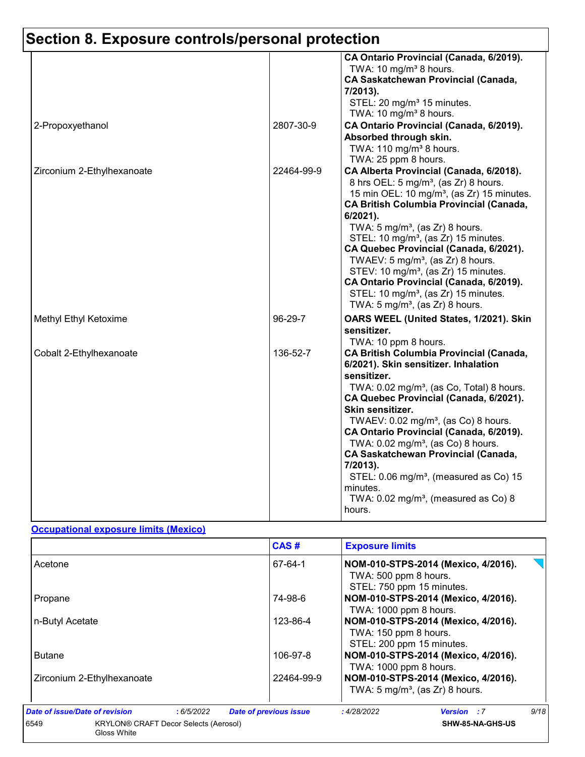|                            |            | CA Ontario Provincial (Canada, 6/2019).<br>TWA: 10 mg/m <sup>3</sup> 8 hours.<br><b>CA Saskatchewan Provincial (Canada,</b><br>7/2013).<br>STEL: 20 mg/m <sup>3</sup> 15 minutes.<br>TWA: 10 mg/m <sup>3</sup> 8 hours.                                                                                                                                                                                                                                                                                                                                                                                              |
|----------------------------|------------|----------------------------------------------------------------------------------------------------------------------------------------------------------------------------------------------------------------------------------------------------------------------------------------------------------------------------------------------------------------------------------------------------------------------------------------------------------------------------------------------------------------------------------------------------------------------------------------------------------------------|
| 2-Propoxyethanol           | 2807-30-9  | CA Ontario Provincial (Canada, 6/2019).<br>Absorbed through skin.<br>TWA: 110 mg/m <sup>3</sup> 8 hours.<br>TWA: 25 ppm 8 hours.                                                                                                                                                                                                                                                                                                                                                                                                                                                                                     |
| Zirconium 2-Ethylhexanoate | 22464-99-9 | CA Alberta Provincial (Canada, 6/2018).<br>8 hrs OEL: 5 mg/m <sup>3</sup> , (as Zr) 8 hours.<br>15 min OEL: 10 mg/m <sup>3</sup> , (as Zr) 15 minutes.<br><b>CA British Columbia Provincial (Canada,</b><br>$6/2021$ ).<br>TWA: $5 \text{ mg/m}^3$ , (as Zr) 8 hours.<br>STEL: 10 mg/m <sup>3</sup> , (as Zr) 15 minutes.<br>CA Quebec Provincial (Canada, 6/2021).<br>TWAEV: $5 \text{ mg/m}^3$ , (as Zr) 8 hours.<br>STEV: 10 mg/m <sup>3</sup> , (as Zr) 15 minutes.<br>CA Ontario Provincial (Canada, 6/2019).<br>STEL: 10 mg/m <sup>3</sup> , (as Zr) 15 minutes.<br>TWA: $5 \text{ mg/m}^3$ , (as Zr) 8 hours. |
| Methyl Ethyl Ketoxime      | 96-29-7    | OARS WEEL (United States, 1/2021). Skin<br>sensitizer.<br>TWA: 10 ppm 8 hours.                                                                                                                                                                                                                                                                                                                                                                                                                                                                                                                                       |
| Cobalt 2-Ethylhexanoate    | 136-52-7   | <b>CA British Columbia Provincial (Canada,</b><br>6/2021). Skin sensitizer. Inhalation<br>sensitizer.<br>TWA: 0.02 mg/m <sup>3</sup> , (as Co, Total) 8 hours.<br>CA Quebec Provincial (Canada, 6/2021).<br>Skin sensitizer.<br>TWAEV: 0.02 mg/m <sup>3</sup> , (as Co) 8 hours.<br>CA Ontario Provincial (Canada, 6/2019).<br>TWA: $0.02$ mg/m <sup>3</sup> , (as Co) 8 hours.<br><b>CA Saskatchewan Provincial (Canada,</b><br>7/2013).<br>STEL: 0.06 mg/m <sup>3</sup> , (measured as Co) 15<br>minutes.<br>TWA: $0.02 \text{ mg/m}^3$ , (measured as Co) 8<br>hours.                                             |

#### **Occupational exposure limits (Mexico)**

|                                                              |           | CAS#                          | <b>Exposure limits</b>                                                                    |                                                                                   |      |
|--------------------------------------------------------------|-----------|-------------------------------|-------------------------------------------------------------------------------------------|-----------------------------------------------------------------------------------|------|
| Acetone                                                      |           | 67-64-1                       | NOM-010-STPS-2014 (Mexico, 4/2016).<br>TWA: 500 ppm 8 hours.<br>STEL: 750 ppm 15 minutes. |                                                                                   |      |
| Propane                                                      |           | 74-98-6                       | TWA: 1000 ppm 8 hours.                                                                    | NOM-010-STPS-2014 (Mexico, 4/2016).                                               |      |
| n-Butyl Acetate                                              |           | 123-86-4                      | NOM-010-STPS-2014 (Mexico, 4/2016).<br>TWA: 150 ppm 8 hours.<br>STEL: 200 ppm 15 minutes. |                                                                                   |      |
| <b>Butane</b>                                                |           | 106-97-8                      | TWA: 1000 ppm 8 hours.                                                                    | NOM-010-STPS-2014 (Mexico, 4/2016).                                               |      |
| Zirconium 2-Ethylhexanoate                                   |           | 22464-99-9                    |                                                                                           | NOM-010-STPS-2014 (Mexico, 4/2016).<br>TWA: $5 \text{ mg/m}^3$ , (as Zr) 8 hours. |      |
| Date of issue/Date of revision                               | :6/5/2022 | <b>Date of previous issue</b> | :4/28/2022                                                                                | <b>Version</b> : 7                                                                | 9/18 |
| 6549<br>KRYLON® CRAFT Decor Selects (Aerosol)<br>Gloss White |           |                               |                                                                                           | SHW-85-NA-GHS-US                                                                  |      |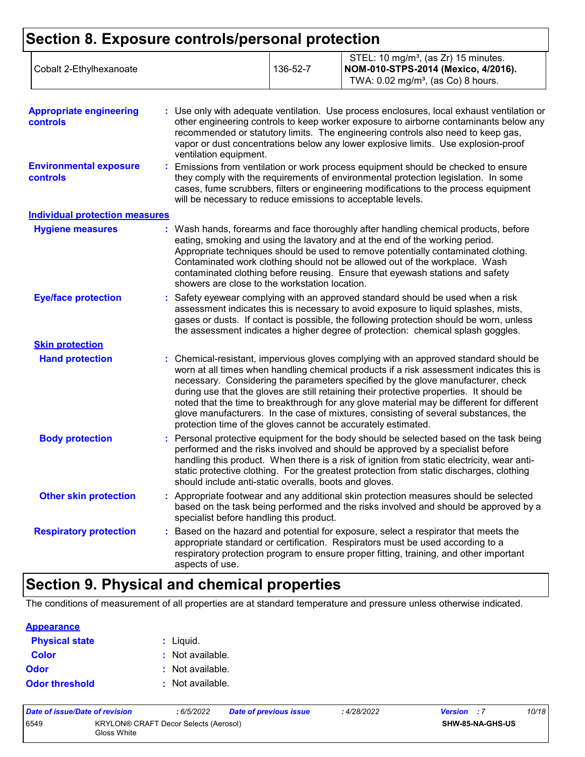| <b>Appropriate engineering</b><br>controls       | : Use only with adequate ventilation. Use process enclosures, local exhaust ventilation or<br>other engineering controls to keep worker exposure to airborne contaminants below any<br>recommended or statutory limits. The engineering controls also need to keep gas,<br>vapor or dust concentrations below any lower explosive limits. Use explosion-proof<br>ventilation equipment.                                                                                                                                                                                                                                |
|--------------------------------------------------|------------------------------------------------------------------------------------------------------------------------------------------------------------------------------------------------------------------------------------------------------------------------------------------------------------------------------------------------------------------------------------------------------------------------------------------------------------------------------------------------------------------------------------------------------------------------------------------------------------------------|
| <b>Environmental exposure</b><br><b>controls</b> | : Emissions from ventilation or work process equipment should be checked to ensure<br>they comply with the requirements of environmental protection legislation. In some<br>cases, fume scrubbers, filters or engineering modifications to the process equipment<br>will be necessary to reduce emissions to acceptable levels.                                                                                                                                                                                                                                                                                        |
| <b>Individual protection measures</b>            |                                                                                                                                                                                                                                                                                                                                                                                                                                                                                                                                                                                                                        |
| <b>Hygiene measures</b>                          | : Wash hands, forearms and face thoroughly after handling chemical products, before<br>eating, smoking and using the lavatory and at the end of the working period.<br>Appropriate techniques should be used to remove potentially contaminated clothing.<br>Contaminated work clothing should not be allowed out of the workplace. Wash<br>contaminated clothing before reusing. Ensure that eyewash stations and safety<br>showers are close to the workstation location.                                                                                                                                            |
| <b>Eye/face protection</b>                       | Safety eyewear complying with an approved standard should be used when a risk<br>assessment indicates this is necessary to avoid exposure to liquid splashes, mists,<br>gases or dusts. If contact is possible, the following protection should be worn, unless<br>the assessment indicates a higher degree of protection: chemical splash goggles.                                                                                                                                                                                                                                                                    |
| <b>Skin protection</b>                           |                                                                                                                                                                                                                                                                                                                                                                                                                                                                                                                                                                                                                        |
| <b>Hand protection</b>                           | : Chemical-resistant, impervious gloves complying with an approved standard should be<br>worn at all times when handling chemical products if a risk assessment indicates this is<br>necessary. Considering the parameters specified by the glove manufacturer, check<br>during use that the gloves are still retaining their protective properties. It should be<br>noted that the time to breakthrough for any glove material may be different for different<br>glove manufacturers. In the case of mixtures, consisting of several substances, the<br>protection time of the gloves cannot be accurately estimated. |
| <b>Body protection</b>                           | : Personal protective equipment for the body should be selected based on the task being<br>performed and the risks involved and should be approved by a specialist before<br>handling this product. When there is a risk of ignition from static electricity, wear anti-<br>static protective clothing. For the greatest protection from static discharges, clothing<br>should include anti-static overalls, boots and gloves.                                                                                                                                                                                         |
| <b>Other skin protection</b>                     | : Appropriate footwear and any additional skin protection measures should be selected<br>based on the task being performed and the risks involved and should be approved by a<br>specialist before handling this product.                                                                                                                                                                                                                                                                                                                                                                                              |
| <b>Respiratory protection</b>                    | : Based on the hazard and potential for exposure, select a respirator that meets the<br>appropriate standard or certification. Respirators must be used according to a<br>respiratory protection program to ensure proper fitting, training, and other important<br>aspects of use.                                                                                                                                                                                                                                                                                                                                    |

## **Section 9. Physical and chemical properties**

The conditions of measurement of all properties are at standard temperature and pressure unless otherwise indicated.

| <b>Appearance</b>     |                  |
|-----------------------|------------------|
| <b>Physical state</b> | : Liquid.        |
| <b>Color</b>          | : Not available. |
| Odor                  | : Not available. |
| <b>Odor threshold</b> | : Not available. |

| Date of issue/Date of revision |                                                      | : 6/5/2022 | Date of previous issue | : 4/28/2022 | <b>Version</b> : 7 | 10/18 |
|--------------------------------|------------------------------------------------------|------------|------------------------|-------------|--------------------|-------|
| 6549                           | KRYLON® CRAFT Decor Selects (Aerosol)<br>Gloss White |            |                        |             | SHW-85-NA-GHS-US   |       |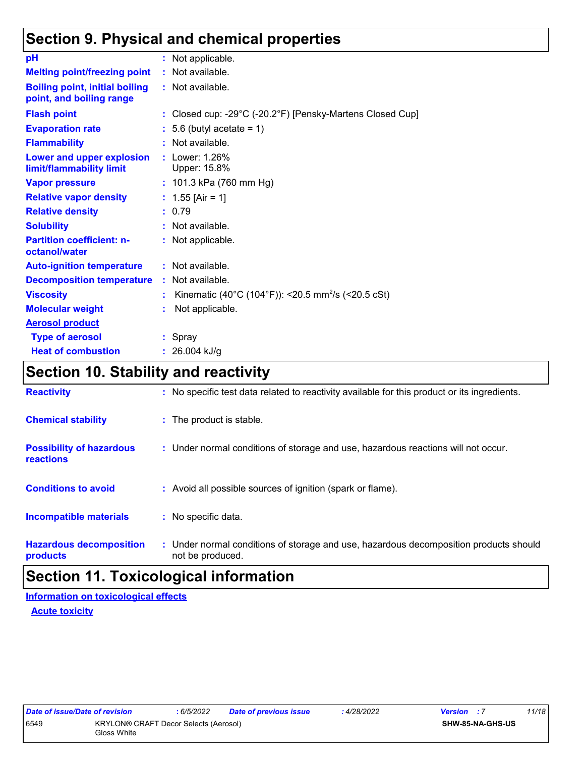## **Section 9. Physical and chemical properties**

| pH                                                                | : Not applicable.                                                |
|-------------------------------------------------------------------|------------------------------------------------------------------|
| <b>Melting point/freezing point</b>                               | : Not available.                                                 |
| <b>Boiling point, initial boiling</b><br>point, and boiling range | : Not available.                                                 |
| <b>Flash point</b>                                                | : Closed cup: -29°C (-20.2°F) [Pensky-Martens Closed Cup]        |
| <b>Evaporation rate</b>                                           | $\therefore$ 5.6 (butyl acetate = 1)                             |
| <b>Flammability</b>                                               | : Not available.                                                 |
| Lower and upper explosion<br>limit/flammability limit             | : Lower: 1.26%<br>Upper: 15.8%                                   |
| <b>Vapor pressure</b>                                             | : 101.3 kPa (760 mm Hg)                                          |
| <b>Relative vapor density</b>                                     | : $1.55$ [Air = 1]                                               |
| <b>Relative density</b>                                           | : 0.79                                                           |
| <b>Solubility</b>                                                 | : Not available.                                                 |
| <b>Partition coefficient: n-</b><br>octanol/water                 | : Not applicable.                                                |
| <b>Auto-ignition temperature</b>                                  | : Not available.                                                 |
| <b>Decomposition temperature</b>                                  | : Not available.                                                 |
| <b>Viscosity</b>                                                  | : Kinematic (40°C (104°F)): <20.5 mm <sup>2</sup> /s (<20.5 cSt) |
| <b>Molecular weight</b>                                           | Not applicable.                                                  |
| <b>Aerosol product</b>                                            |                                                                  |
| <b>Type of aerosol</b>                                            | $:$ Spray                                                        |
| <b>Heat of combustion</b>                                         | : $26.004$ kJ/g                                                  |

## **Section 10. Stability and reactivity**

| <b>Reactivity</b>                            | : No specific test data related to reactivity available for this product or its ingredients.              |
|----------------------------------------------|-----------------------------------------------------------------------------------------------------------|
| <b>Chemical stability</b>                    | : The product is stable.                                                                                  |
| <b>Possibility of hazardous</b><br>reactions | : Under normal conditions of storage and use, hazardous reactions will not occur.                         |
| <b>Conditions to avoid</b>                   | : Avoid all possible sources of ignition (spark or flame).                                                |
| <b>Incompatible materials</b>                | : No specific data.                                                                                       |
| <b>Hazardous decomposition</b><br>products   | : Under normal conditions of storage and use, hazardous decomposition products should<br>not be produced. |

## **Section 11. Toxicological information**

**Acute toxicity Information on toxicological effects**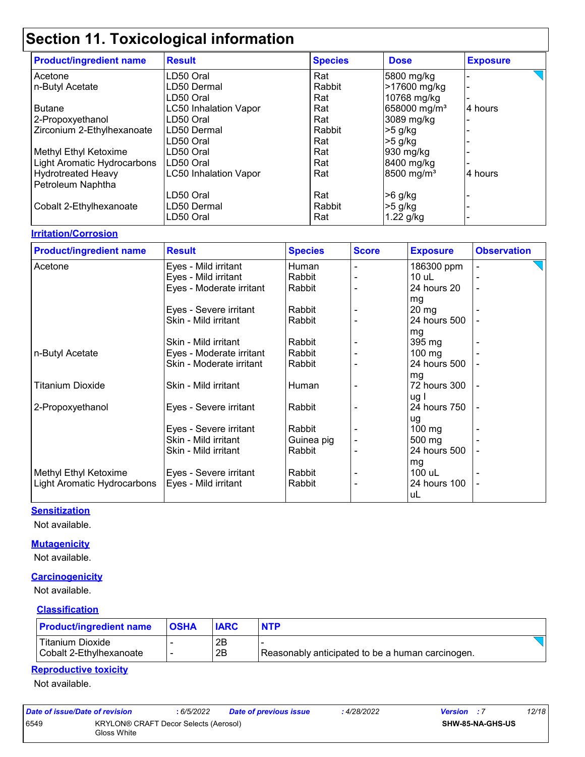| <b>Product/ingredient name</b> | <b>Result</b>                | <b>Species</b> | <b>Dose</b>              | <b>Exposure</b> |
|--------------------------------|------------------------------|----------------|--------------------------|-----------------|
| Acetone                        | LD50 Oral                    | Rat            | 5800 mg/kg               |                 |
| n-Butyl Acetate                | LD50 Dermal                  | Rabbit         | >17600 mg/kg             |                 |
|                                | LD50 Oral                    | Rat            | 10768 mg/kg              |                 |
| <b>Butane</b>                  | <b>LC50 Inhalation Vapor</b> | Rat            | 658000 mg/m <sup>3</sup> | 4 hours         |
| 2-Propoxyethanol               | LD50 Oral                    | Rat            | 3089 mg/kg               |                 |
| Zirconium 2-Ethylhexanoate     | LD50 Dermal                  | Rabbit         | $>5$ g/kg                |                 |
|                                | LD50 Oral                    | Rat            | -5 g/kg                  |                 |
| Methyl Ethyl Ketoxime          | LD50 Oral                    | Rat            | 930 mg/kg                |                 |
| Light Aromatic Hydrocarbons    | LD50 Oral                    | Rat            | 8400 mg/kg               |                 |
| <b>Hydrotreated Heavy</b>      | <b>LC50 Inhalation Vapor</b> | Rat            | $8500$ mg/m <sup>3</sup> | 4 hours         |
| Petroleum Naphtha              |                              |                |                          |                 |
|                                | LD50 Oral                    | Rat            | >6 g/kg                  |                 |
| Cobalt 2-Ethylhexanoate        | LD50 Dermal                  | Rabbit         | $>5$ g/kg                |                 |
|                                | LD50 Oral                    | Rat            | $1.22$ g/kg              |                 |

#### **Irritation/Corrosion**

| <b>Product/ingredient name</b> | <b>Result</b>            | <b>Species</b> | <b>Score</b> | <b>Exposure</b>  | <b>Observation</b>       |
|--------------------------------|--------------------------|----------------|--------------|------------------|--------------------------|
| Acetone                        | Eyes - Mild irritant     | Human          |              | 186300 ppm       |                          |
|                                | Eyes - Mild irritant     | Rabbit         |              | $10$ uL          |                          |
|                                | Eyes - Moderate irritant | Rabbit         |              | 24 hours 20      | $\overline{\phantom{a}}$ |
|                                |                          |                |              | mg               |                          |
|                                | Eyes - Severe irritant   | Rabbit         |              | $20 \, mg$       |                          |
|                                | Skin - Mild irritant     | Rabbit         |              | 24 hours 500     |                          |
|                                |                          |                |              | mg               |                          |
|                                | Skin - Mild irritant     | Rabbit         |              | $395 \text{ mg}$ |                          |
| n-Butyl Acetate                | Eyes - Moderate irritant | Rabbit         |              | $100 \text{ mg}$ |                          |
|                                | Skin - Moderate irritant | Rabbit         |              | 24 hours 500     |                          |
|                                |                          |                |              | mg               |                          |
| <b>Titanium Dioxide</b>        | Skin - Mild irritant     | Human          |              | 72 hours 300     |                          |
|                                |                          |                |              | ug l             |                          |
| 2-Propoxyethanol               | Eyes - Severe irritant   | Rabbit         |              | 24 hours 750     |                          |
|                                |                          |                |              | ug               |                          |
|                                | Eyes - Severe irritant   | Rabbit         |              | $100 \text{ mg}$ |                          |
|                                | Skin - Mild irritant     | Guinea pig     |              | 500 mg           |                          |
|                                | Skin - Mild irritant     | Rabbit         |              | 24 hours 500     |                          |
|                                |                          |                |              | mg               |                          |
| Methyl Ethyl Ketoxime          | Eyes - Severe irritant   | Rabbit         |              | 100 uL           |                          |
| Light Aromatic Hydrocarbons    | Eyes - Mild irritant     | Rabbit         |              | 24 hours 100     |                          |
|                                |                          |                |              | uL               |                          |

#### **Sensitization**

Not available.

#### **Mutagenicity**

Not available.

#### **Carcinogenicity**

Not available.

#### **Classification**

| <b>Product/ingredient name</b> | <b>OSHA</b> | <b>IARC</b> | <b>NTP</b>                                       |  |
|--------------------------------|-------------|-------------|--------------------------------------------------|--|
| l Titanium Dioxide             |             | 2Β          |                                                  |  |
| Cobalt 2-Ethylhexanoate        |             | 2B          | Reasonably anticipated to be a human carcinogen. |  |

#### **Reproductive toxicity**

Not available.

| Date of issue/Date of revision |                                                      | : 6/5/2022 | Date of previous issue | 4/28/2022 | <b>Version</b> : 7      | 12/18 |
|--------------------------------|------------------------------------------------------|------------|------------------------|-----------|-------------------------|-------|
| 6549                           | KRYLON® CRAFT Decor Selects (Aerosol)<br>Gloss White |            |                        |           | <b>SHW-85-NA-GHS-US</b> |       |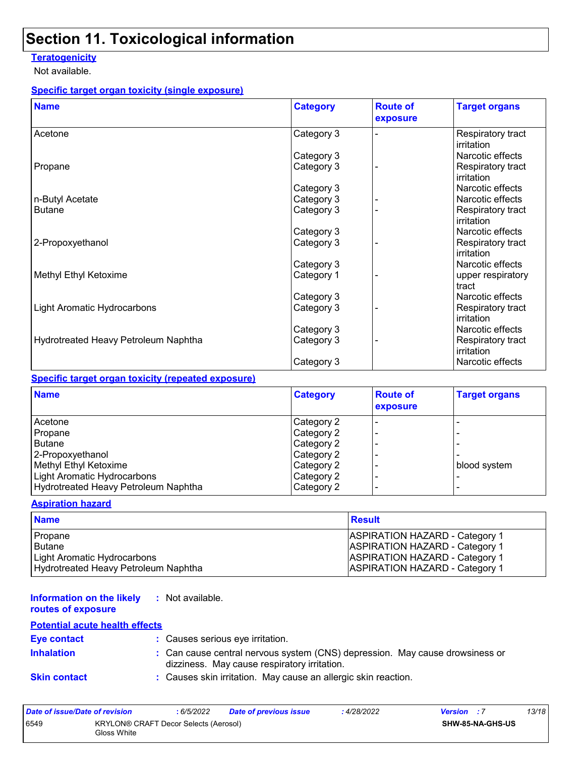#### **Teratogenicity**

Not available.

#### **Specific target organ toxicity (single exposure)**

| <b>Name</b>                          | <b>Category</b> | <b>Route of</b><br>exposure | <b>Target organs</b>            |
|--------------------------------------|-----------------|-----------------------------|---------------------------------|
| Acetone                              | Category 3      |                             | Respiratory tract<br>irritation |
|                                      | Category 3      |                             | Narcotic effects                |
| Propane                              | Category 3      |                             | Respiratory tract<br>irritation |
|                                      | Category 3      |                             | Narcotic effects                |
| n-Butyl Acetate                      | Category 3      |                             | Narcotic effects                |
| <b>Butane</b>                        | Category 3      |                             | Respiratory tract<br>irritation |
|                                      | Category 3      |                             | Narcotic effects                |
| 2-Propoxyethanol                     | Category 3      |                             | Respiratory tract<br>irritation |
|                                      | Category 3      |                             | Narcotic effects                |
| Methyl Ethyl Ketoxime                | Category 1      |                             | upper respiratory<br>tract      |
|                                      | Category 3      |                             | Narcotic effects                |
| <b>Light Aromatic Hydrocarbons</b>   | Category 3      |                             | Respiratory tract<br>irritation |
|                                      | Category 3      |                             | Narcotic effects                |
| Hydrotreated Heavy Petroleum Naphtha | Category 3      |                             | Respiratory tract<br>irritation |
|                                      | Category 3      |                             | Narcotic effects                |

#### **Specific target organ toxicity (repeated exposure)**

| <b>Name</b>                          | <b>Category</b> | <b>Route of</b><br>exposure | <b>Target organs</b> |
|--------------------------------------|-----------------|-----------------------------|----------------------|
| Acetone                              | Category 2      |                             |                      |
| Propane                              | Category 2      |                             |                      |
| <b>Butane</b>                        | Category 2      |                             |                      |
| 2-Propoxyethanol                     | Category 2      |                             |                      |
| Methyl Ethyl Ketoxime                | Category 2      |                             | blood system         |
| Light Aromatic Hydrocarbons          | Category 2      |                             |                      |
| Hydrotreated Heavy Petroleum Naphtha | Category 2      |                             |                      |

#### **Aspiration hazard**

| <b>Name</b>                          | Result                                |
|--------------------------------------|---------------------------------------|
| Propane                              | <b>ASPIRATION HAZARD - Category 1</b> |
| Butane                               | <b>ASPIRATION HAZARD - Category 1</b> |
| Light Aromatic Hydrocarbons          | <b>ASPIRATION HAZARD - Category 1</b> |
| Hydrotreated Heavy Petroleum Naphtha | <b>ASPIRATION HAZARD - Category 1</b> |

#### **Information on the likely routes of exposure :** Not available.

#### **Potential acute health effects**

| Eye contact         | : Causes serious eye irritation.                                                                                             |
|---------------------|------------------------------------------------------------------------------------------------------------------------------|
| <b>Inhalation</b>   | : Can cause central nervous system (CNS) depression. May cause drowsiness or<br>dizziness. May cause respiratory irritation. |
| <b>Skin contact</b> | : Causes skin irritation. May cause an allergic skin reaction.                                                               |

| Date of issue/Date of revision |                                                      | : 6/5/2022 | Date of previous issue | 4/28/2022 | <b>Version</b> : 7 |                         | 13/18 |
|--------------------------------|------------------------------------------------------|------------|------------------------|-----------|--------------------|-------------------------|-------|
| 6549                           | KRYLON® CRAFT Decor Selects (Aerosol)<br>Gloss White |            |                        |           |                    | <b>SHW-85-NA-GHS-US</b> |       |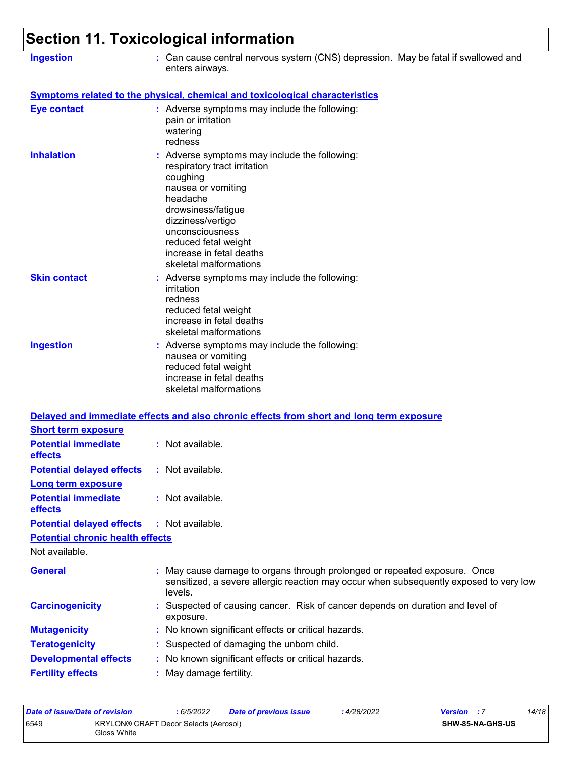| <b>Ingestion</b>                                                   | : Can cause central nervous system (CNS) depression. May be fatal if swallowed and<br>enters airways.                                                                                                                                                                   |
|--------------------------------------------------------------------|-------------------------------------------------------------------------------------------------------------------------------------------------------------------------------------------------------------------------------------------------------------------------|
|                                                                    | <b>Symptoms related to the physical, chemical and toxicological characteristics</b>                                                                                                                                                                                     |
| <b>Eye contact</b>                                                 | : Adverse symptoms may include the following:<br>pain or irritation<br>watering<br>redness                                                                                                                                                                              |
| <b>Inhalation</b>                                                  | : Adverse symptoms may include the following:<br>respiratory tract irritation<br>coughing<br>nausea or vomiting<br>headache<br>drowsiness/fatigue<br>dizziness/vertigo<br>unconsciousness<br>reduced fetal weight<br>increase in fetal deaths<br>skeletal malformations |
| <b>Skin contact</b>                                                | : Adverse symptoms may include the following:<br>irritation<br>redness<br>reduced fetal weight<br>increase in fetal deaths<br>skeletal malformations                                                                                                                    |
| <b>Ingestion</b>                                                   | : Adverse symptoms may include the following:<br>nausea or vomiting<br>reduced fetal weight<br>increase in fetal deaths<br>skeletal malformations                                                                                                                       |
|                                                                    | Delayed and immediate effects and also chronic effects from short and long term exposure                                                                                                                                                                                |
| <b>Short term exposure</b>                                         |                                                                                                                                                                                                                                                                         |
| <b>Potential immediate</b><br>effects                              | : Not available.                                                                                                                                                                                                                                                        |
| <b>Potential delayed effects</b>                                   | : Not available.                                                                                                                                                                                                                                                        |
| <b>Long term exposure</b><br><b>Potential immediate</b><br>effects | : Not available.                                                                                                                                                                                                                                                        |
| <b>Potential delayed effects</b>                                   | : Not available.                                                                                                                                                                                                                                                        |
| <b>Potential chronic health effects</b>                            |                                                                                                                                                                                                                                                                         |
| Not available.                                                     |                                                                                                                                                                                                                                                                         |
| <b>General</b>                                                     | May cause damage to organs through prolonged or repeated exposure. Once<br>sensitized, a severe allergic reaction may occur when subsequently exposed to very low<br>levels.                                                                                            |
| <b>Carcinogenicity</b>                                             | Suspected of causing cancer. Risk of cancer depends on duration and level of<br>exposure.                                                                                                                                                                               |
| <b>Mutagenicity</b>                                                | No known significant effects or critical hazards.                                                                                                                                                                                                                       |
| <b>Teratogenicity</b>                                              | Suspected of damaging the unborn child.                                                                                                                                                                                                                                 |
| <b>Developmental effects</b>                                       | No known significant effects or critical hazards.                                                                                                                                                                                                                       |
| <b>Fertility effects</b>                                           | May damage fertility.                                                                                                                                                                                                                                                   |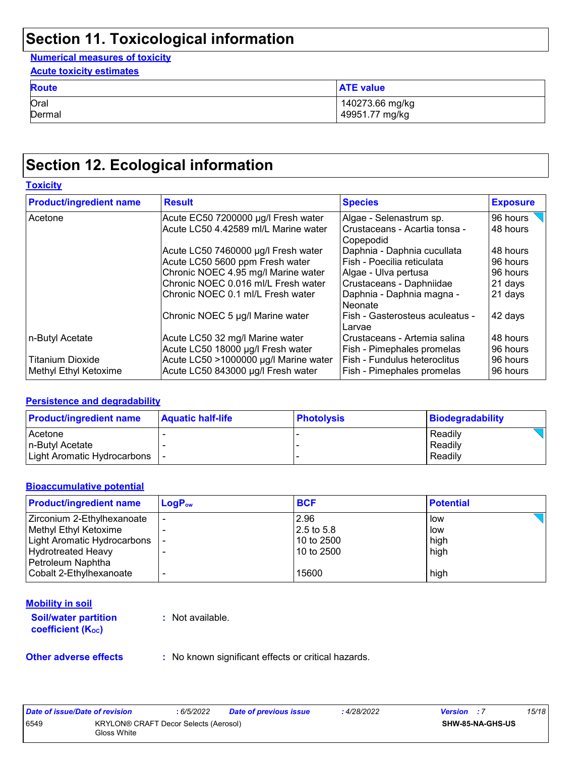**Numerical measures of toxicity**

| <b>Acute toxicity estimates</b> |                  |
|---------------------------------|------------------|
| <b>Route</b>                    | <b>ATE value</b> |
| Oral                            | 140273.66 mg/kg  |
| Dermal                          | 49951.77 mg/kg   |

## **Section 12. Ecological information**

| <b>Toxicity</b> |  |
|-----------------|--|
|                 |  |

| <b>Product/ingredient name</b> | <b>Result</b>                         | <b>Species</b>                             | <b>Exposure</b> |
|--------------------------------|---------------------------------------|--------------------------------------------|-----------------|
| Acetone                        | Acute EC50 7200000 µg/l Fresh water   | Algae - Selenastrum sp.                    | 96 hours        |
|                                | Acute LC50 4.42589 ml/L Marine water  | Crustaceans - Acartia tonsa -<br>Copepodid | 48 hours        |
|                                | Acute LC50 7460000 µg/l Fresh water   | Daphnia - Daphnia cucullata                | 48 hours        |
|                                | Acute LC50 5600 ppm Fresh water       | Fish - Poecilia reticulata                 | 96 hours        |
|                                | Chronic NOEC 4.95 mg/l Marine water   | Algae - Ulva pertusa                       | 96 hours        |
|                                | Chronic NOEC 0.016 ml/L Fresh water   | Crustaceans - Daphniidae                   | 21 days         |
|                                | Chronic NOEC 0.1 ml/L Fresh water     | Daphnia - Daphnia magna -<br>Neonate       | 21 days         |
|                                | Chronic NOEC 5 µg/l Marine water      | Fish - Gasterosteus aculeatus -<br>Larvae  | 42 days         |
| n-Butyl Acetate                | Acute LC50 32 mg/l Marine water       | Crustaceans - Artemia salina               | 48 hours        |
|                                | Acute LC50 18000 µg/l Fresh water     | Fish - Pimephales promelas                 | 96 hours        |
| <b>Titanium Dioxide</b>        | Acute LC50 >1000000 µg/l Marine water | Fish - Fundulus heteroclitus               | 96 hours        |
| Methyl Ethyl Ketoxime          | Acute LC50 843000 µg/l Fresh water    | Fish - Pimephales promelas                 | 96 hours        |

#### **Persistence and degradability**

| <b>Product/ingredient name</b> | <b>Aquatic half-life</b> | <b>Photolysis</b> | Biodegradability |
|--------------------------------|--------------------------|-------------------|------------------|
| Acetone                        |                          |                   | Readily          |
| n-Butyl Acetate                |                          |                   | Readily          |
| Light Aromatic Hydrocarbons    |                          |                   | Readily          |

#### **Bioaccumulative potential**

| <b>Product/ingredient name</b> | $LogP_{ow}$ | <b>BCF</b>   | <b>Potential</b> |
|--------------------------------|-------------|--------------|------------------|
| Zirconium 2-Ethylhexanoate     |             | 2.96         | low              |
| Methyl Ethyl Ketoxime          |             | $2.5$ to 5.8 | low              |
| Light Aromatic Hydrocarbons    |             | 10 to 2500   | high             |
| Hydrotreated Heavy             |             | 10 to 2500   | high             |
| Petroleum Naphtha              |             |              |                  |
| Cobalt 2-Ethylhexanoate        |             | 15600        | high             |

#### **Mobility in soil**

**Soil/water partition coefficient (KOC)**

**:** Not available.

**Other adverse effects** : No known significant effects or critical hazards.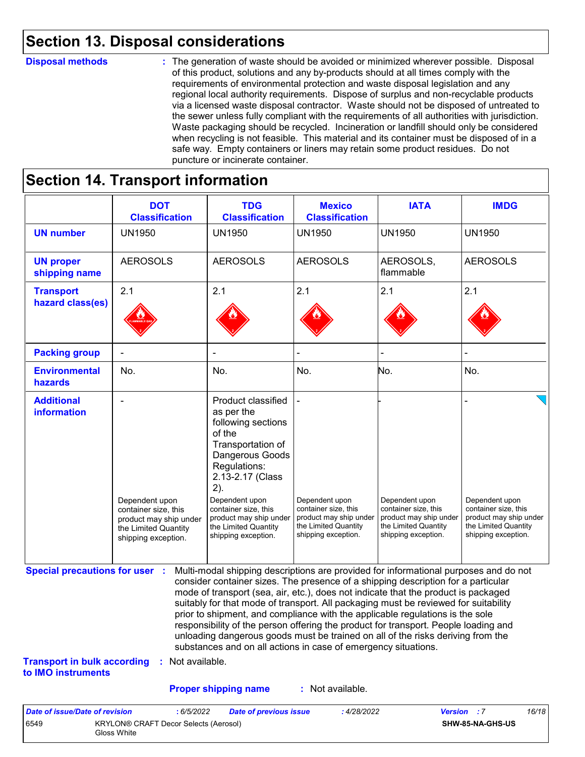### **Section 13. Disposal considerations**

#### **Disposal methods :**

The generation of waste should be avoided or minimized wherever possible. Disposal of this product, solutions and any by-products should at all times comply with the requirements of environmental protection and waste disposal legislation and any regional local authority requirements. Dispose of surplus and non-recyclable products via a licensed waste disposal contractor. Waste should not be disposed of untreated to the sewer unless fully compliant with the requirements of all authorities with jurisdiction. Waste packaging should be recycled. Incineration or landfill should only be considered when recycling is not feasible. This material and its container must be disposed of in a safe way. Empty containers or liners may retain some product residues. Do not puncture or incinerate container.

### **Section 14. Transport information**

6549 KRYLON® CRAFT Decor Selects (Aerosol)

Gloss White

|                                                                             | <b>DOT</b><br><b>Classification</b>                                                                                                                                                                                                                                                                                                                                                       | <b>TDG</b><br><b>Classification</b>                                                                                                                                                                                                                                                                                                                                                                                                                                                                                                                                                         | <b>Mexico</b><br><b>Classification</b>                                                                          | <b>IATA</b>                                                                                                                                                                                                                                                                                                                | <b>IMDG</b>     |
|-----------------------------------------------------------------------------|-------------------------------------------------------------------------------------------------------------------------------------------------------------------------------------------------------------------------------------------------------------------------------------------------------------------------------------------------------------------------------------------|---------------------------------------------------------------------------------------------------------------------------------------------------------------------------------------------------------------------------------------------------------------------------------------------------------------------------------------------------------------------------------------------------------------------------------------------------------------------------------------------------------------------------------------------------------------------------------------------|-----------------------------------------------------------------------------------------------------------------|----------------------------------------------------------------------------------------------------------------------------------------------------------------------------------------------------------------------------------------------------------------------------------------------------------------------------|-----------------|
| <b>UN number</b>                                                            | <b>UN1950</b>                                                                                                                                                                                                                                                                                                                                                                             | <b>UN1950</b>                                                                                                                                                                                                                                                                                                                                                                                                                                                                                                                                                                               | <b>UN1950</b>                                                                                                   | <b>UN1950</b>                                                                                                                                                                                                                                                                                                              | <b>UN1950</b>   |
| <b>UN proper</b><br>shipping name                                           | <b>AEROSOLS</b>                                                                                                                                                                                                                                                                                                                                                                           | <b>AEROSOLS</b>                                                                                                                                                                                                                                                                                                                                                                                                                                                                                                                                                                             | <b>AEROSOLS</b>                                                                                                 | AEROSOLS,<br>flammable                                                                                                                                                                                                                                                                                                     | <b>AEROSOLS</b> |
| <b>Transport</b><br>hazard class(es)                                        | 2.1                                                                                                                                                                                                                                                                                                                                                                                       | 2.1                                                                                                                                                                                                                                                                                                                                                                                                                                                                                                                                                                                         | 2.1                                                                                                             | 2.1                                                                                                                                                                                                                                                                                                                        | 2.1             |
| <b>Packing group</b>                                                        | ÷                                                                                                                                                                                                                                                                                                                                                                                         | ÷                                                                                                                                                                                                                                                                                                                                                                                                                                                                                                                                                                                           |                                                                                                                 |                                                                                                                                                                                                                                                                                                                            |                 |
| <b>Environmental</b><br>hazards                                             | No.                                                                                                                                                                                                                                                                                                                                                                                       | No.                                                                                                                                                                                                                                                                                                                                                                                                                                                                                                                                                                                         | No.                                                                                                             | No.                                                                                                                                                                                                                                                                                                                        | No.             |
| <b>Additional</b><br><b>information</b>                                     | Product classified<br>as per the<br>following sections<br>of the<br>Transportation of<br>Dangerous Goods<br>Regulations:<br>2.13-2.17 (Class<br>2).<br>Dependent upon<br>Dependent upon<br>container size, this<br>container size, this<br>product may ship under<br>product may ship under<br>the Limited Quantity<br>the Limited Quantity<br>shipping exception.<br>shipping exception. |                                                                                                                                                                                                                                                                                                                                                                                                                                                                                                                                                                                             | Dependent upon<br>container size, this<br>product may ship under<br>the Limited Quantity<br>shipping exception. | Dependent upon<br>Dependent upon<br>container size, this<br>container size, this<br>product may ship under<br>product may ship under<br>the Limited Quantity<br>the Limited Quantity<br>shipping exception.<br>shipping exception.<br>Multi-modal shipping descriptions are provided for informational purposes and do not |                 |
| <b>Special precautions for user :</b><br><b>Transport in bulk according</b> | : Not available.                                                                                                                                                                                                                                                                                                                                                                          | consider container sizes. The presence of a shipping description for a particular<br>mode of transport (sea, air, etc.), does not indicate that the product is packaged<br>suitably for that mode of transport. All packaging must be reviewed for suitability<br>prior to shipment, and compliance with the applicable regulations is the sole<br>responsibility of the person offering the product for transport. People loading and<br>unloading dangerous goods must be trained on all of the risks deriving from the<br>substances and on all actions in case of emergency situations. |                                                                                                                 |                                                                                                                                                                                                                                                                                                                            |                 |
| to IMO instruments                                                          |                                                                                                                                                                                                                                                                                                                                                                                           |                                                                                                                                                                                                                                                                                                                                                                                                                                                                                                                                                                                             |                                                                                                                 |                                                                                                                                                                                                                                                                                                                            |                 |
|                                                                             |                                                                                                                                                                                                                                                                                                                                                                                           | <b>Proper shipping name</b>                                                                                                                                                                                                                                                                                                                                                                                                                                                                                                                                                                 | : Not available.                                                                                                |                                                                                                                                                                                                                                                                                                                            |                 |

**SHW-85-NA-GHS-US**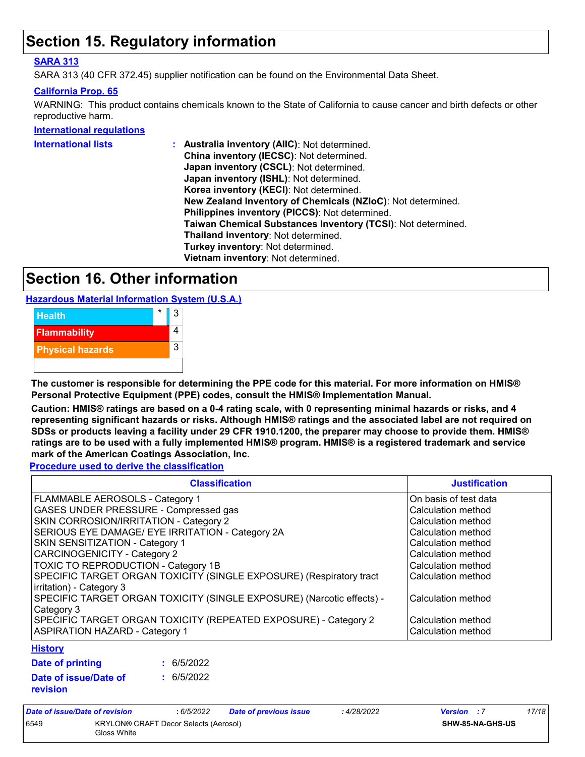## **Section 15. Regulatory information**

#### **SARA 313**

SARA 313 (40 CFR 372.45) supplier notification can be found on the Environmental Data Sheet.

#### **California Prop. 65**

WARNING: This product contains chemicals known to the State of California to cause cancer and birth defects or other reproductive harm.

**International regulations**

| <b>International lists</b> | Australia inventory (AllC): Not determined.                  |
|----------------------------|--------------------------------------------------------------|
|                            | China inventory (IECSC): Not determined.                     |
|                            | Japan inventory (CSCL): Not determined.                      |
|                            | Japan inventory (ISHL): Not determined.                      |
|                            | Korea inventory (KECI): Not determined.                      |
|                            | New Zealand Inventory of Chemicals (NZIoC): Not determined.  |
|                            | Philippines inventory (PICCS): Not determined.               |
|                            | Taiwan Chemical Substances Inventory (TCSI): Not determined. |
|                            | Thailand inventory: Not determined.                          |
|                            | Turkey inventory: Not determined.                            |
|                            | Vietnam inventory: Not determined.                           |

### **Section 16. Other information**

**Hazardous Material Information System (U.S.A.)**



**The customer is responsible for determining the PPE code for this material. For more information on HMIS® Personal Protective Equipment (PPE) codes, consult the HMIS® Implementation Manual.**

**Caution: HMIS® ratings are based on a 0-4 rating scale, with 0 representing minimal hazards or risks, and 4 representing significant hazards or risks. Although HMIS® ratings and the associated label are not required on SDSs or products leaving a facility under 29 CFR 1910.1200, the preparer may choose to provide them. HMIS® ratings are to be used with a fully implemented HMIS® program. HMIS® is a registered trademark and service mark of the American Coatings Association, Inc.**

**Procedure used to derive the classification**

| <b>Classification</b>                                                                           | <b>Justification</b>  |
|-------------------------------------------------------------------------------------------------|-----------------------|
| <b>FLAMMABLE AEROSOLS - Category 1</b>                                                          | On basis of test data |
| GASES UNDER PRESSURE - Compressed gas                                                           | Calculation method    |
| SKIN CORROSION/IRRITATION - Category 2                                                          | Calculation method    |
| SERIOUS EYE DAMAGE/ EYE IRRITATION - Category 2A                                                | Calculation method    |
| SKIN SENSITIZATION - Category 1                                                                 | Calculation method    |
| <b>CARCINOGENICITY - Category 2</b>                                                             | Calculation method    |
| TOXIC TO REPRODUCTION - Category 1B                                                             | Calculation method    |
| SPECIFIC TARGET ORGAN TOXICITY (SINGLE EXPOSURE) (Respiratory tract<br>irritation) - Category 3 | Calculation method    |
| SPECIFIC TARGET ORGAN TOXICITY (SINGLE EXPOSURE) (Narcotic effects) -<br>Category 3             | Calculation method    |
| SPECIFIC TARGET ORGAN TOXICITY (REPEATED EXPOSURE) - Category 2                                 | Calculation method    |
| <b>ASPIRATION HAZARD - Category 1</b>                                                           | Calculation method    |
| <b>Lintany</b>                                                                                  |                       |

#### **History**

| Date of printing                  | : 6/5/2022 |
|-----------------------------------|------------|
| Date of issue/Date of<br>revision | : 6/5/2022 |

| Date of issue/Date of revision |                                                      | : 6/5/2022 | Date of previous issue | : 4/28/2022 | <b>Version</b> : 7      | 17/18 |
|--------------------------------|------------------------------------------------------|------------|------------------------|-------------|-------------------------|-------|
| 6549                           | KRYLON® CRAFT Decor Selects (Aerosol)<br>Gloss White |            |                        |             | <b>SHW-85-NA-GHS-US</b> |       |